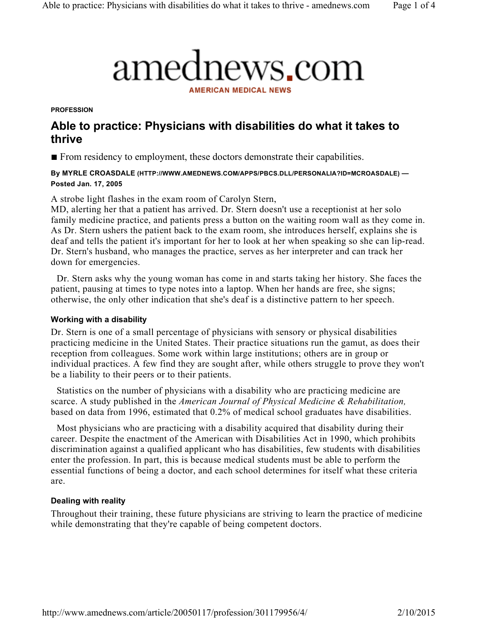# amednews.com

**AMERICAN MEDICAL NEWS** 

**PROFESSION** 

# Able to practice: Physicians with disabilities do what it takes to thrive

■ From residency to employment, these doctors demonstrate their capabilities.

## By MYRLE CROASDALE (HTTP://WWW.AMEDNEWS.COM/APPS/PBCS.DLL/PERSONALIA?ID=MCROASDALE) — Posted Jan. 17, 2005

A strobe light flashes in the exam room of Carolyn Stern,

MD, alerting her that a patient has arrived. Dr. Stern doesn't use a receptionist at her solo family medicine practice, and patients press a button on the waiting room wall as they come in. As Dr. Stern ushers the patient back to the exam room, she introduces herself, explains she is deaf and tells the patient it's important for her to look at her when speaking so she can lip-read. Dr. Stern's husband, who manages the practice, serves as her interpreter and can track her down for emergencies.

Dr. Stern asks why the young woman has come in and starts taking her history. She faces the patient, pausing at times to type notes into a laptop. When her hands are free, she signs; otherwise, the only other indication that she's deaf is a distinctive pattern to her speech.

## Working with a disability

Dr. Stern is one of a small percentage of physicians with sensory or physical disabilities practicing medicine in the United States. Their practice situations run the gamut, as does their reception from colleagues. Some work within large institutions; others are in group or individual practices. A few find they are sought after, while others struggle to prove they won't be a liability to their peers or to their patients.

Statistics on the number of physicians with a disability who are practicing medicine are scarce. A study published in the American Journal of Physical Medicine & Rehabilitation, based on data from 1996, estimated that 0.2% of medical school graduates have disabilities.

Most physicians who are practicing with a disability acquired that disability during their career. Despite the enactment of the American with Disabilities Act in 1990, which prohibits discrimination against a qualified applicant who has disabilities, few students with disabilities enter the profession. In part, this is because medical students must be able to perform the essential functions of being a doctor, and each school determines for itself what these criteria are.

## Dealing with reality

Throughout their training, these future physicians are striving to learn the practice of medicine while demonstrating that they're capable of being competent doctors.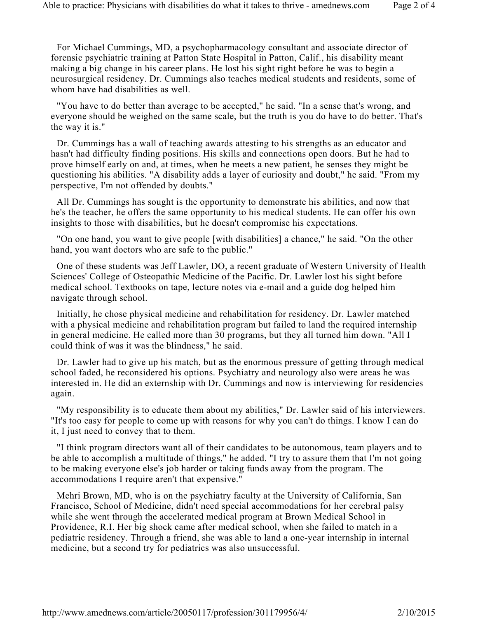For Michael Cummings, MD, a psychopharmacology consultant and associate director of forensic psychiatric training at Patton State Hospital in Patton, Calif., his disability meant making a big change in his career plans. He lost his sight right before he was to begin a neurosurgical residency. Dr. Cummings also teaches medical students and residents, some of whom have had disabilities as well.

"You have to do better than average to be accepted," he said. "In a sense that's wrong, and everyone should be weighed on the same scale, but the truth is you do have to do better. That's the way it is."

Dr. Cummings has a wall of teaching awards attesting to his strengths as an educator and hasn't had difficulty finding positions. His skills and connections open doors. But he had to prove himself early on and, at times, when he meets a new patient, he senses they might be questioning his abilities. "A disability adds a layer of curiosity and doubt," he said. "From my perspective, I'm not offended by doubts."

All Dr. Cummings has sought is the opportunity to demonstrate his abilities, and now that he's the teacher, he offers the same opportunity to his medical students. He can offer his own insights to those with disabilities, but he doesn't compromise his expectations.

"On one hand, you want to give people [with disabilities] a chance," he said. "On the other hand, you want doctors who are safe to the public."

One of these students was Jeff Lawler, DO, a recent graduate of Western University of Health Sciences' College of Osteopathic Medicine of the Pacific. Dr. Lawler lost his sight before medical school. Textbooks on tape, lecture notes via e-mail and a guide dog helped him navigate through school.

Initially, he chose physical medicine and rehabilitation for residency. Dr. Lawler matched with a physical medicine and rehabilitation program but failed to land the required internship in general medicine. He called more than 30 programs, but they all turned him down. "All I could think of was it was the blindness," he said.

Dr. Lawler had to give up his match, but as the enormous pressure of getting through medical school faded, he reconsidered his options. Psychiatry and neurology also were areas he was interested in. He did an externship with Dr. Cummings and now is interviewing for residencies again.

"My responsibility is to educate them about my abilities," Dr. Lawler said of his interviewers. "It's too easy for people to come up with reasons for why you can't do things. I know I can do it, I just need to convey that to them.

"I think program directors want all of their candidates to be autonomous, team players and to be able to accomplish a multitude of things," he added. "I try to assure them that I'm not going to be making everyone else's job harder or taking funds away from the program. The accommodations I require aren't that expensive."

Mehri Brown, MD, who is on the psychiatry faculty at the University of California, San Francisco, School of Medicine, didn't need special accommodations for her cerebral palsy while she went through the accelerated medical program at Brown Medical School in Providence, R.I. Her big shock came after medical school, when she failed to match in a pediatric residency. Through a friend, she was able to land a one-year internship in internal medicine, but a second try for pediatrics was also unsuccessful.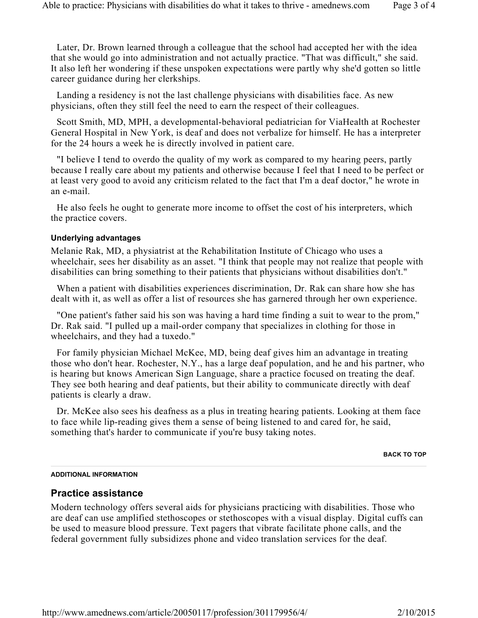Later, Dr. Brown learned through a colleague that the school had accepted her with the idea that she would go into administration and not actually practice. "That was difficult," she said. It also left her wondering if these unspoken expectations were partly why she'd gotten so little career guidance during her clerkships.

Landing a residency is not the last challenge physicians with disabilities face. As new physicians, often they still feel the need to earn the respect of their colleagues.

Scott Smith, MD, MPH, a developmental-behavioral pediatrician for ViaHealth at Rochester General Hospital in New York, is deaf and does not verbalize for himself. He has a interpreter for the 24 hours a week he is directly involved in patient care.

"I believe I tend to overdo the quality of my work as compared to my hearing peers, partly because I really care about my patients and otherwise because I feel that I need to be perfect or at least very good to avoid any criticism related to the fact that I'm a deaf doctor," he wrote in an e-mail.

He also feels he ought to generate more income to offset the cost of his interpreters, which the practice covers.

#### Underlying advantages

Melanie Rak, MD, a physiatrist at the Rehabilitation Institute of Chicago who uses a wheelchair, sees her disability as an asset. "I think that people may not realize that people with disabilities can bring something to their patients that physicians without disabilities don't."

When a patient with disabilities experiences discrimination, Dr. Rak can share how she has dealt with it, as well as offer a list of resources she has garnered through her own experience.

"One patient's father said his son was having a hard time finding a suit to wear to the prom," Dr. Rak said. "I pulled up a mail-order company that specializes in clothing for those in wheelchairs, and they had a tuxedo."

For family physician Michael McKee, MD, being deaf gives him an advantage in treating those who don't hear. Rochester, N.Y., has a large deaf population, and he and his partner, who is hearing but knows American Sign Language, share a practice focused on treating the deaf. They see both hearing and deaf patients, but their ability to communicate directly with deaf patients is clearly a draw.

Dr. McKee also sees his deafness as a plus in treating hearing patients. Looking at them face to face while lip-reading gives them a sense of being listened to and cared for, he said, something that's harder to communicate if you're busy taking notes.

#### BACK TO TOP

#### ADDITIONAL INFORMATION

## Practice assistance

Modern technology offers several aids for physicians practicing with disabilities. Those who are deaf can use amplified stethoscopes or stethoscopes with a visual display. Digital cuffs can be used to measure blood pressure. Text pagers that vibrate facilitate phone calls, and the federal government fully subsidizes phone and video translation services for the deaf.